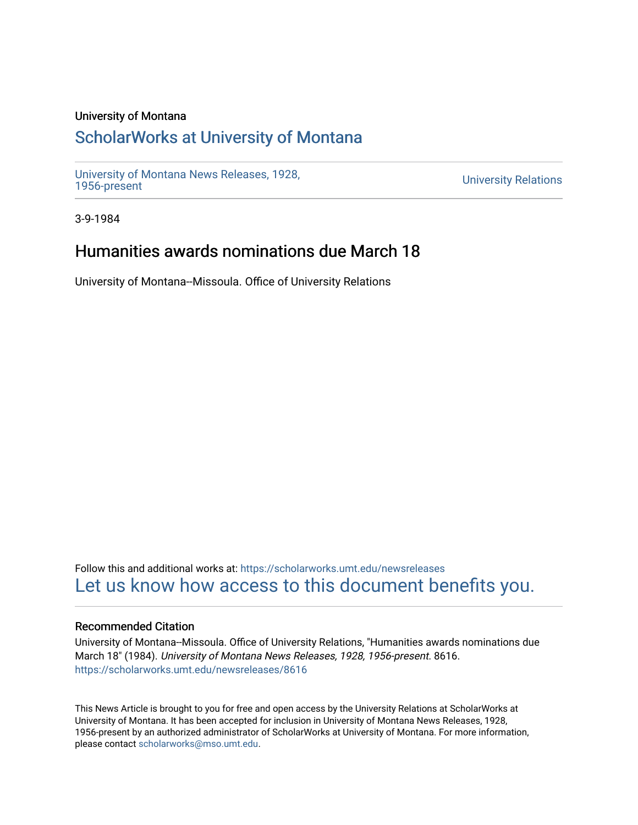### University of Montana

# [ScholarWorks at University of Montana](https://scholarworks.umt.edu/)

[University of Montana News Releases, 1928,](https://scholarworks.umt.edu/newsreleases) 

**University Relations** 

3-9-1984

# Humanities awards nominations due March 18

University of Montana--Missoula. Office of University Relations

Follow this and additional works at: [https://scholarworks.umt.edu/newsreleases](https://scholarworks.umt.edu/newsreleases?utm_source=scholarworks.umt.edu%2Fnewsreleases%2F8616&utm_medium=PDF&utm_campaign=PDFCoverPages) [Let us know how access to this document benefits you.](https://goo.gl/forms/s2rGfXOLzz71qgsB2) 

#### Recommended Citation

University of Montana--Missoula. Office of University Relations, "Humanities awards nominations due March 18" (1984). University of Montana News Releases, 1928, 1956-present. 8616. [https://scholarworks.umt.edu/newsreleases/8616](https://scholarworks.umt.edu/newsreleases/8616?utm_source=scholarworks.umt.edu%2Fnewsreleases%2F8616&utm_medium=PDF&utm_campaign=PDFCoverPages) 

This News Article is brought to you for free and open access by the University Relations at ScholarWorks at University of Montana. It has been accepted for inclusion in University of Montana News Releases, 1928, 1956-present by an authorized administrator of ScholarWorks at University of Montana. For more information, please contact [scholarworks@mso.umt.edu.](mailto:scholarworks@mso.umt.edu)